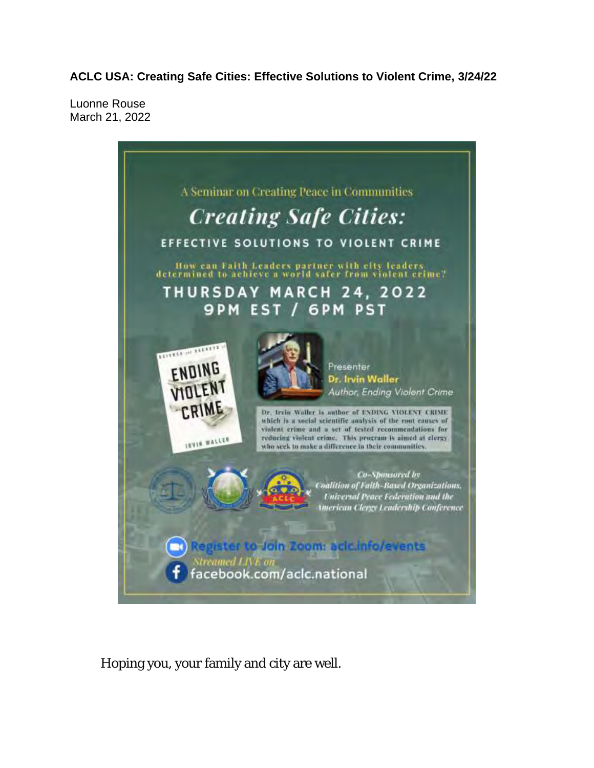**ACLC USA: Creating Safe Cities: Effective Solutions to Violent Crime, 3/24/22**

Luonne Rouse March 21, 2022



Hoping you, your family and city are well.